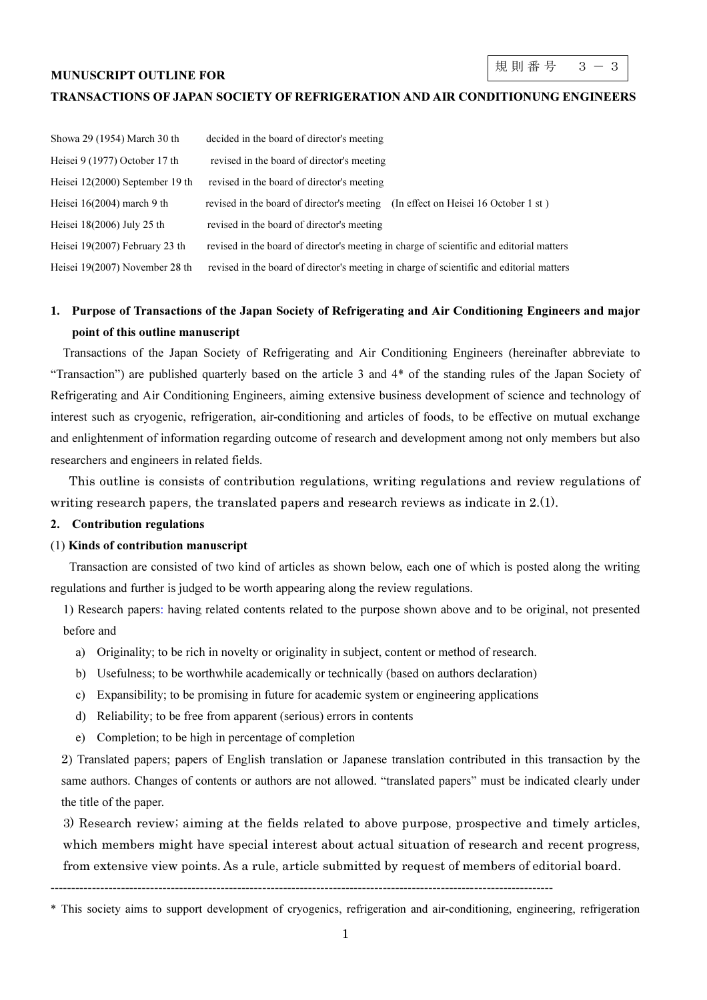#### MUNUSCRIPT OUTLINE FOR

#### TRANSACTIONS OF JAPAN SOCIETY OF REFRIGERATION AND AIR CONDITIONUNG ENGINEERS

| Showa 29 (1954) March 30 th     | decided in the board of director's meeting                                               |
|---------------------------------|------------------------------------------------------------------------------------------|
| Heisei 9 (1977) October 17 th   | revised in the board of director's meeting                                               |
| Heisei 12(2000) September 19 th | revised in the board of director's meeting                                               |
| Heisei $16(2004)$ march 9 th    | revised in the board of director's meeting (In effect on Heisei 16 October 1 st)         |
| Heisei $18(2006)$ July 25 th    | revised in the board of director's meeting                                               |
| Heisei 19(2007) February 23 th  | revised in the board of director's meeting in charge of scientific and editorial matters |
| Heisei 19(2007) November 28 th  | revised in the board of director's meeting in charge of scientific and editorial matters |

# 1. Purpose of Transactions of the Japan Society of Refrigerating and Air Conditioning Engineers and major point of this outline manuscript

 Transactions of the Japan Society of Refrigerating and Air Conditioning Engineers (hereinafter abbreviate to "Transaction") are published quarterly based on the article 3 and 4\* of the standing rules of the Japan Society of Refrigerating and Air Conditioning Engineers, aiming extensive business development of science and technology of interest such as cryogenic, refrigeration, air-conditioning and articles of foods, to be effective on mutual exchange and enlightenment of information regarding outcome of research and development among not only members but also researchers and engineers in related fields.

 This outline is consists of contribution regulations, writing regulations and review regulations of writing research papers, the translated papers and research reviews as indicate in 2.(1).

### 2. Contribution regulations

#### (1) Kinds of contribution manuscript

Transaction are consisted of two kind of articles as shown below, each one of which is posted along the writing regulations and further is judged to be worth appearing along the review regulations.

1) Research papers: having related contents related to the purpose shown above and to be original, not presented before and

- a) Originality; to be rich in novelty or originality in subject, content or method of research.
- b) Usefulness; to be worthwhile academically or technically (based on authors declaration)
- c) Expansibility; to be promising in future for academic system or engineering applications
- d) Reliability; to be free from apparent (serious) errors in contents
- e) Completion; to be high in percentage of completion

2) Translated papers; papers of English translation or Japanese translation contributed in this transaction by the same authors. Changes of contents or authors are not allowed. "translated papers" must be indicated clearly under the title of the paper.

3) Research review; aiming at the fields related to above purpose, prospective and timely articles, which members might have special interest about actual situation of research and recent progress, from extensive view points. As a rule, article submitted by request of members of editorial board.

-------------------------------------------------------------------------------------------------------------------------

<sup>\*</sup> This society aims to support development of cryogenics, refrigeration and air-conditioning, engineering, refrigeration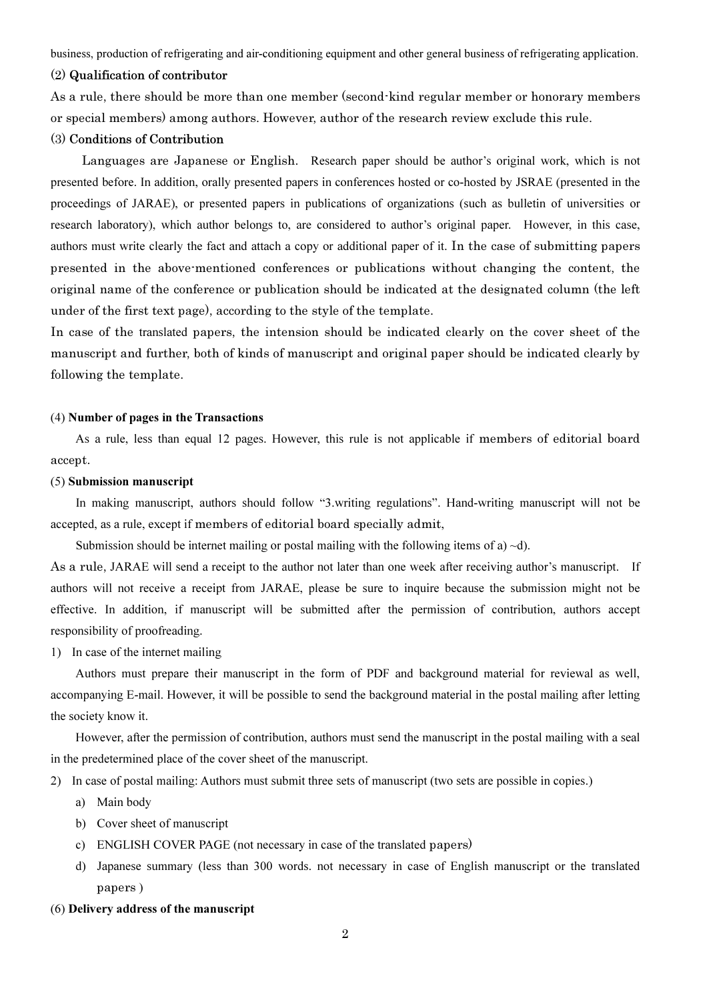business, production of refrigerating and air-conditioning equipment and other general business of refrigerating application.

#### (2) Qualification of contributor

As a rule, there should be more than one member (second-kind regular member or honorary members or special members) among authors. However, author of the research review exclude this rule.

### (3) Conditions of Contribution

 Languages are Japanese or English. Research paper should be author's original work, which is not presented before. In addition, orally presented papers in conferences hosted or co-hosted by JSRAE (presented in the proceedings of JARAE), or presented papers in publications of organizations (such as bulletin of universities or research laboratory), which author belongs to, are considered to author's original paper. However, in this case, authors must write clearly the fact and attach a copy or additional paper of it. In the case of submitting papers presented in the above-mentioned conferences or publications without changing the content, the original name of the conference or publication should be indicated at the designated column (the left under of the first text page), according to the style of the template.

In case of the translated papers, the intension should be indicated clearly on the cover sheet of the manuscript and further, both of kinds of manuscript and original paper should be indicated clearly by following the template.

#### (4) Number of pages in the Transactions

 As a rule, less than equal 12 pages. However, this rule is not applicable if members of editorial board accept.

### (5) Submission manuscript

 In making manuscript, authors should follow "3.writing regulations". Hand-writing manuscript will not be accepted, as a rule, except if members of editorial board specially admit,

Submission should be internet mailing or postal mailing with the following items of a)  $\neg$ d).

As a rule, JARAE will send a receipt to the author not later than one week after receiving author's manuscript. If authors will not receive a receipt from JARAE, please be sure to inquire because the submission might not be effective. In addition, if manuscript will be submitted after the permission of contribution, authors accept responsibility of proofreading.

#### 1) In case of the internet mailing

 Authors must prepare their manuscript in the form of PDF and background material for reviewal as well, accompanying E-mail. However, it will be possible to send the background material in the postal mailing after letting the society know it.

 However, after the permission of contribution, authors must send the manuscript in the postal mailing with a seal in the predetermined place of the cover sheet of the manuscript.

2) In case of postal mailing: Authors must submit three sets of manuscript (two sets are possible in copies.)

- a) Main body
- b) Cover sheet of manuscript
- c) ENGLISH COVER PAGE (not necessary in case of the translated papers)
- d) Japanese summary (less than 300 words. not necessary in case of English manuscript or the translated papers )

#### (6) Delivery address of the manuscript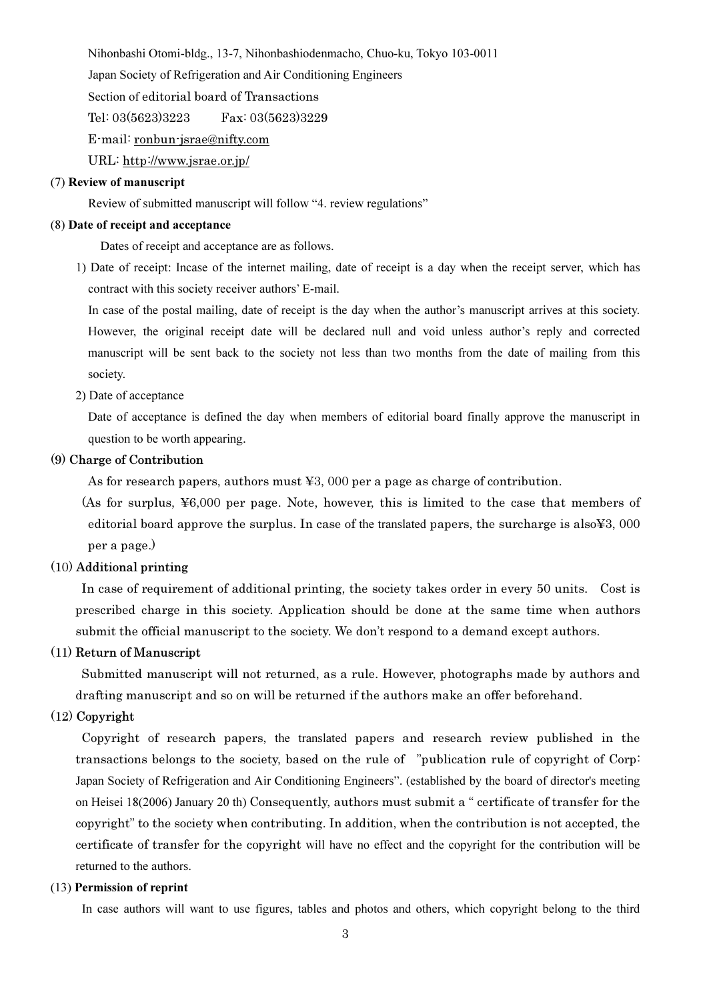Nihonbashi Otomi-bldg., 13-7, Nihonbashiodenmacho, Chuo-ku, Tokyo 103-0011

Japan Society of Refrigeration and Air Conditioning Engineers

Section of editorial board of Transactions

Tel: 03(5623)3223 Fax: 03(5623)3229

E-mail: ronbun-jsrae@nifty.com

URL: http://www.jsrae.or.jp/

## (7) Review of manuscript

Review of submitted manuscript will follow "4. review regulations"

#### (8) Date of receipt and acceptance

Dates of receipt and acceptance are as follows.

 1) Date of receipt: Incase of the internet mailing, date of receipt is a day when the receipt server, which has contract with this society receiver authors' E-mail.

 In case of the postal mailing, date of receipt is the day when the author's manuscript arrives at this society. However, the original receipt date will be declared null and void unless author's reply and corrected manuscript will be sent back to the society not less than two months from the date of mailing from this society.

2) Date of acceptance

 Date of acceptance is defined the day when members of editorial board finally approve the manuscript in question to be worth appearing.

## (9) Charge of Contribution

As for research papers, authors must ¥3, 000 per a page as charge of contribution.

(As for surplus, ¥6,000 per page. Note, however, this is limited to the case that members of editorial board approve the surplus. In case of the translated papers, the surcharge is also¥3, 000 per a page.)

### (10) Additional printing

 In case of requirement of additional printing, the society takes order in every 50 units. Cost is prescribed charge in this society. Application should be done at the same time when authors submit the official manuscript to the society. We don't respond to a demand except authors.

## (11) Return of Manuscript

 Submitted manuscript will not returned, as a rule. However, photographs made by authors and drafting manuscript and so on will be returned if the authors make an offer beforehand.

### (12) Copyright

 Copyright of research papers, the translated papers and research review published in the transactions belongs to the society, based on the rule of "publication rule of copyright of Corp: Japan Society of Refrigeration and Air Conditioning Engineers". (established by the board of director's meeting on Heisei 18(2006) January 20 th) Consequently, authors must submit a " certificate of transfer for the copyright" to the society when contributing. In addition, when the contribution is not accepted, the certificate of transfer for the copyright will have no effect and the copyright for the contribution will be returned to the authors.

### (13) Permission of reprint

In case authors will want to use figures, tables and photos and others, which copyright belong to the third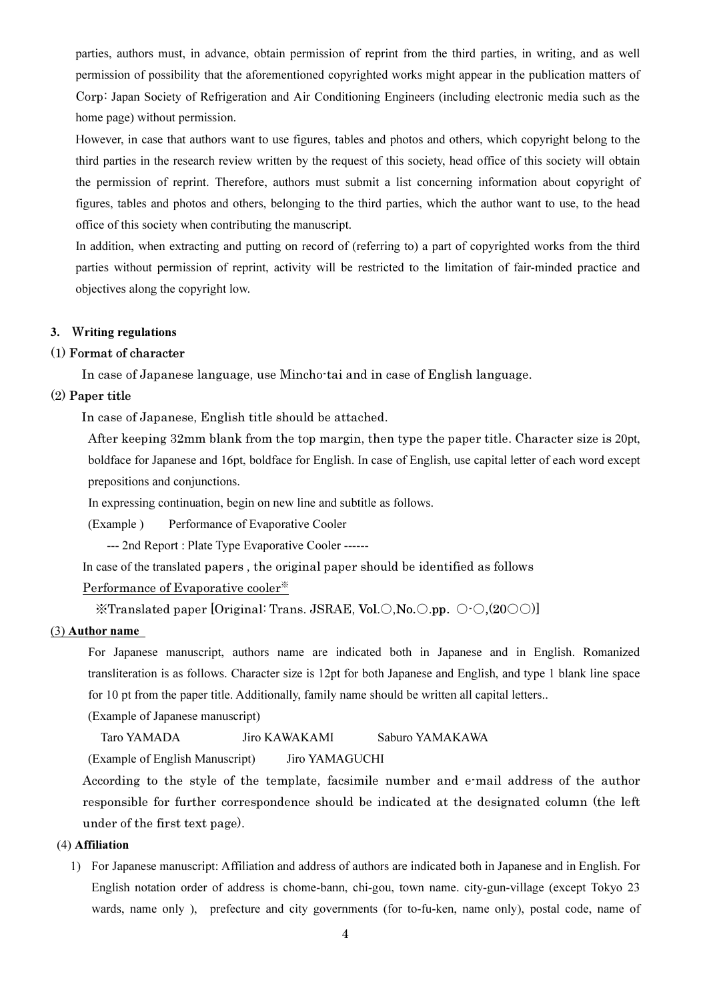parties, authors must, in advance, obtain permission of reprint from the third parties, in writing, and as well permission of possibility that the aforementioned copyrighted works might appear in the publication matters of Corp: Japan Society of Refrigeration and Air Conditioning Engineers (including electronic media such as the home page) without permission.

 However, in case that authors want to use figures, tables and photos and others, which copyright belong to the third parties in the research review written by the request of this society, head office of this society will obtain the permission of reprint. Therefore, authors must submit a list concerning information about copyright of figures, tables and photos and others, belonging to the third parties, which the author want to use, to the head office of this society when contributing the manuscript.

 In addition, when extracting and putting on record of (referring to) a part of copyrighted works from the third parties without permission of reprint, activity will be restricted to the limitation of fair-minded practice and objectives along the copyright low.

#### 3. Writing regulations

#### (1) Format of character

In case of Japanese language, use Mincho-tai and in case of English language.

#### (2) Paper title

In case of Japanese, English title should be attached.

After keeping 32mm blank from the top margin, then type the paper title. Character size is 20pt, boldface for Japanese and 16pt, boldface for English. In case of English, use capital letter of each word except prepositions and conjunctions.

In expressing continuation, begin on new line and subtitle as follows.

(Example ) Performance of Evaporative Cooler

--- 2nd Report : Plate Type Evaporative Cooler ------

In case of the translated papers , the original paper should be identified as follows

#### Performance of Evaporative cooler※

※Translated paper [Original: Trans. JSRAE, Vol.○,No.○.pp. ○-○,(20○○)]

## (3) Author name

 For Japanese manuscript, authors name are indicated both in Japanese and in English. Romanized transliteration is as follows. Character size is 12pt for both Japanese and English, and type 1 blank line space for 10 pt from the paper title. Additionally, family name should be written all capital letters..

(Example of Japanese manuscript)

Taro YAMADA Jiro KAWAKAMI Saburo YAMAKAWA

(Example of English Manuscript) Jiro YAMAGUCHI

According to the style of the template, facsimile number and e-mail address of the author responsible for further correspondence should be indicated at the designated column (the left under of the first text page).

#### (4) Affiliation

1) For Japanese manuscript: Affiliation and address of authors are indicated both in Japanese and in English. For English notation order of address is chome-bann, chi-gou, town name. city-gun-village (except Tokyo 23 wards, name only ), prefecture and city governments (for to-fu-ken, name only), postal code, name of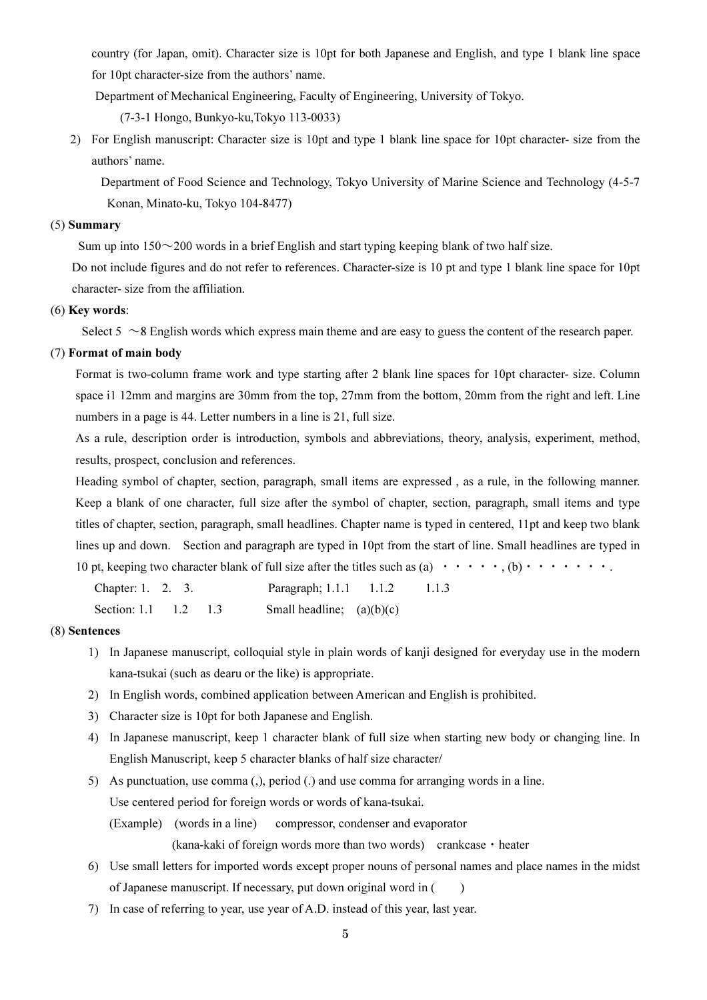country (for Japan, omit). Character size is 10pt for both Japanese and English, and type 1 blank line space for 10pt character-size from the authors' name.

Department of Mechanical Engineering, Faculty of Engineering, University of Tokyo.

(7-3-1 Hongo, Bunkyo-ku,Tokyo 113-0033)

2) For English manuscript: Character size is 10pt and type 1 blank line space for 10pt character- size from the authors' name.

 Department of Food Science and Technology, Tokyo University of Marine Science and Technology (4-5-7 Konan, Minato-ku, Tokyo 104-8477)

### (5) Summary

Sum up into  $150 \sim 200$  words in a brief English and start typing keeping blank of two half size.

Do not include figures and do not refer to references. Character-size is 10 pt and type 1 blank line space for 10pt character- size from the affiliation.

### (6) Key words:

Select  $5 \sim 8$  English words which express main theme and are easy to guess the content of the research paper.

### (7) Format of main body

 Format is two-column frame work and type starting after 2 blank line spaces for 10pt character- size. Column space i1 12mm and margins are 30mm from the top, 27mm from the bottom, 20mm from the right and left. Line numbers in a page is 44. Letter numbers in a line is 21, full size.

 As a rule, description order is introduction, symbols and abbreviations, theory, analysis, experiment, method, results, prospect, conclusion and references.

 Heading symbol of chapter, section, paragraph, small items are expressed , as a rule, in the following manner. Keep a blank of one character, full size after the symbol of chapter, section, paragraph, small items and type titles of chapter, section, paragraph, small headlines. Chapter name is typed in centered, 11pt and keep two blank lines up and down. Section and paragraph are typed in 10pt from the start of line. Small headlines are typed in 10 pt, keeping two character blank of full size after the titles such as (a)  $\cdots \cdots$ , (b)  $\cdots \cdots \cdots$ .

Chapter: 1. 2. 3. Paragraph; 1.1.1 1.1.2 1.1.3 Section: 1.1 1.2 1.3 Small headline;  $(a)(b)(c)$ 

### (8) Sentences

- 1) In Japanese manuscript, colloquial style in plain words of kanji designed for everyday use in the modern kana-tsukai (such as dearu or the like) is appropriate.
- 2) In English words, combined application between American and English is prohibited.
- 3) Character size is 10pt for both Japanese and English.
- 4) In Japanese manuscript, keep 1 character blank of full size when starting new body or changing line. In English Manuscript, keep 5 character blanks of half size character/
- 5) As punctuation, use comma (,), period (.) and use comma for arranging words in a line. Use centered period for foreign words or words of kana-tsukai. (Example) (words in a line) compressor, condenser and evaporator

(kana-kaki of foreign words more than two words) crankcase・heater

- 6) Use small letters for imported words except proper nouns of personal names and place names in the midst of Japanese manuscript. If necessary, put down original word in ( )
- 7) In case of referring to year, use year of A.D. instead of this year, last year.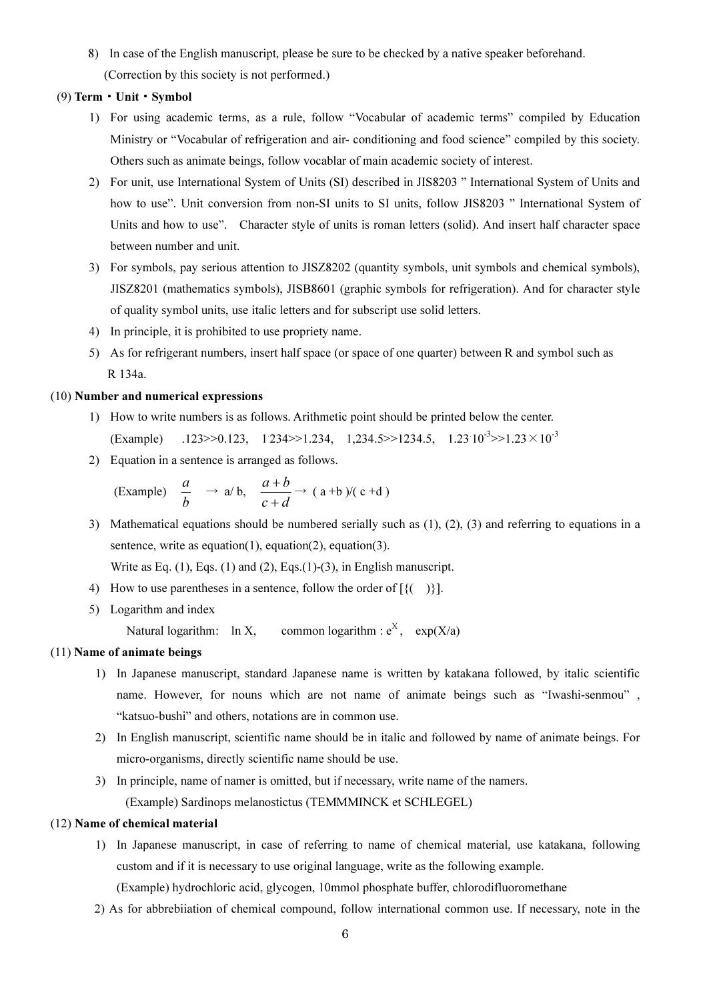8) In case of the English manuscript, please be sure to be checked by a native speaker beforehand. (Correction by this society is not performed.)

### (9) Term・Unit・Symbol

- 1) For using academic terms, as a rule, follow "Vocabular of academic terms" compiled by Education Ministry or "Vocabular of refrigeration and air- conditioning and food science" compiled by this society. Others such as animate beings, follow vocablar of main academic society of interest.
- 2) For unit, use International System of Units (SI) described in JIS8203 " International System of Units and how to use". Unit conversion from non-SI units to SI units, follow JIS8203 " International System of Units and how to use". Character style of units is roman letters (solid). And insert half character space between number and unit.
- 3) For symbols, pay serious attention to JISZ8202 (quantity symbols, unit symbols and chemical symbols), JISZ8201 (mathematics symbols), JISB8601 (graphic symbols for refrigeration). And for character style of quality symbol units, use italic letters and for subscript use solid letters.
- 4) In principle, it is prohibited to use propriety name.
- 5) As for refrigerant numbers, insert half space (or space of one quarter) between R and symbol such as R 134a.

### (10) Number and numerical expressions

- 1) How to write numbers is as follows. Arithmetic point should be printed below the center. (Example)  $.123 \rightarrow 0.123$ ,  $1234 \rightarrow 1.234$ ,  $1,234.5 \rightarrow 1234.5$ ,  $1.23 \cdot 10^{-3} \rightarrow 1.23 \times 10^{-3}$
- 2) Equation in a sentence is arranged as follows.

(Example) 
$$
\frac{a}{b} \rightarrow a/b, \quad \frac{a+b}{c+d} \rightarrow (a+b)/(c+d)
$$

3) Mathematical equations should be numbered serially such as (1), (2), (3) and referring to equations in a sentence, write as equation(1), equation(2), equation(3).

Write as Eq.  $(1)$ , Eqs.  $(1)$  and  $(2)$ , Eqs.  $(1)-(3)$ , in English manuscript.

- 4) How to use parentheses in a sentence, follow the order of  $[{ ( )}]$ .
- 5) Logarithm and index

Natural logarithm:  $\ln X$ , common logarithm :  $e^{X}$ ,  $exp(X/a)$ 

## (11) Name of animate beings

- 1) In Japanese manuscript, standard Japanese name is written by katakana followed, by italic scientific name. However, for nouns which are not name of animate beings such as "Iwashi-senmou" , "katsuo-bushi" and others, notations are in common use.
- 2) In English manuscript, scientific name should be in italic and followed by name of animate beings. For micro-organisms, directly scientific name should be use.
- 3) In principle, name of namer is omitted, but if necessary, write name of the namers. (Example) Sardinops melanostictus (TEMMMINCK et SCHLEGEL)

#### (12) Name of chemical material

- 1) In Japanese manuscript, in case of referring to name of chemical material, use katakana, following custom and if it is necessary to use original language, write as the following example. (Example) hydrochloric acid, glycogen, 10mmol phosphate buffer, chlorodifluoromethane
- 2) As for abbrebiiation of chemical compound, follow international common use. If necessary, note in the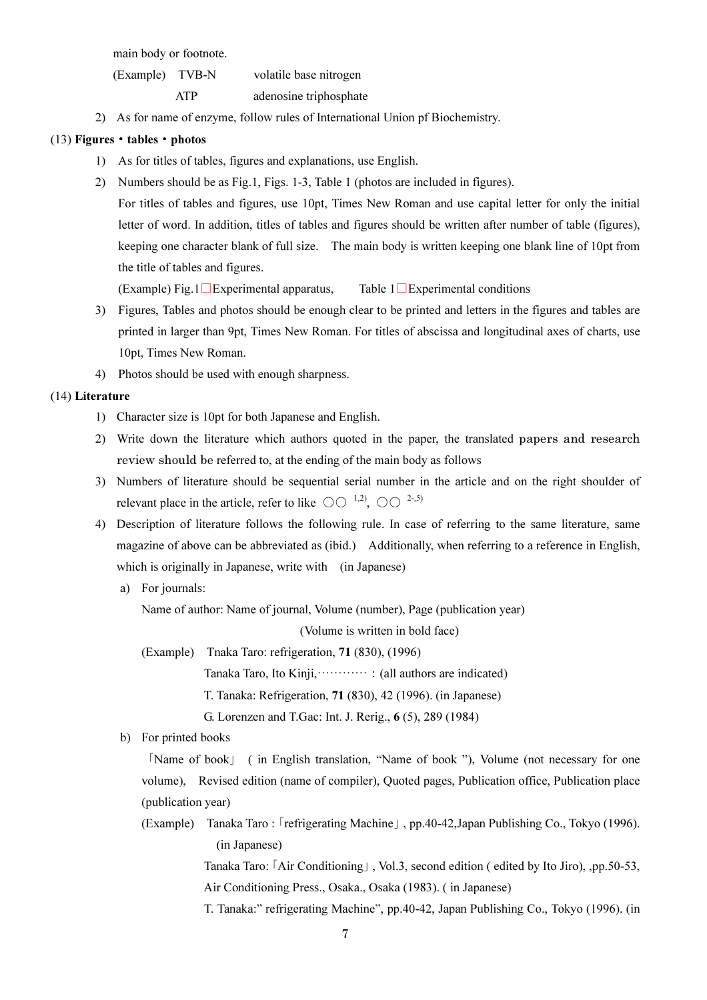main body or footnote.

 (Example) TVB-N volatile base nitrogen ATP adenosine triphosphate

2) As for name of enzyme, follow rules of International Union pf Biochemistry.

### (13) Figures・tables・photos

- 1) As for titles of tables, figures and explanations, use English.
- 2) Numbers should be as Fig.1, Figs. 1-3, Table 1 (photos are included in figures).
	- For titles of tables and figures, use 10pt, Times New Roman and use capital letter for only the initial letter of word. In addition, titles of tables and figures should be written after number of table (figures), keeping one character blank of full size. The main body is written keeping one blank line of 10pt from the title of tables and figures.

(Example) Fig.1□Experimental apparatus, Table 1□Experimental conditions

- 3) Figures, Tables and photos should be enough clear to be printed and letters in the figures and tables are printed in larger than 9pt, Times New Roman. For titles of abscissa and longitudinal axes of charts, use 10pt, Times New Roman.
- 4) Photos should be used with enough sharpness.

### (14) Literature

- 1) Character size is 10pt for both Japanese and English.
- 2) Write down the literature which authors quoted in the paper, the translated papers and research review should be referred to, at the ending of the main body as follows
- 3) Numbers of literature should be sequential serial number in the article and on the right shoulder of relevant place in the article, refer to like  $\circlearrowright \circlearrowleft^{1,2}$ ,  $\circlearrowright \circlearrowright^{2\cdot 5}$
- 4) Description of literature follows the following rule. In case of referring to the same literature, same magazine of above can be abbreviated as (ibid.) Additionally, when referring to a reference in English, which is originally in Japanese, write with (in Japanese)
	- a) For journals:

Name of author: Name of journal, Volume (number), Page (publication year)

(Volume is written in bold face)

(Example) Tnaka Taro: refrigeration, 71 (830), (1996)

Tanaka Taro, Ito Kinji,…………:(all authors are indicated)

T. Tanaka: Refrigeration, 71 (830), 42 (1996). (in Japanese)

G. Lorenzen and T.Gac: Int. J. Rerig., 6 (5), 289 (1984)

b) For printed books

「Name of book」 ( in English translation, "Name of book "), Volume (not necessary for one volume), Revised edition (name of compiler), Quoted pages, Publication office, Publication place (publication year)

(Example) Tanaka Taro :「refrigerating Machine」, pp.40-42,Japan Publishing Co., Tokyo (1996). (in Japanese)

> Tanaka Taro:「Air Conditioning」, Vol.3, second edition ( edited by Ito Jiro), ,pp.50-53, Air Conditioning Press., Osaka., Osaka (1983). ( in Japanese)

> T. Tanaka:" refrigerating Machine", pp.40-42, Japan Publishing Co., Tokyo (1996). (in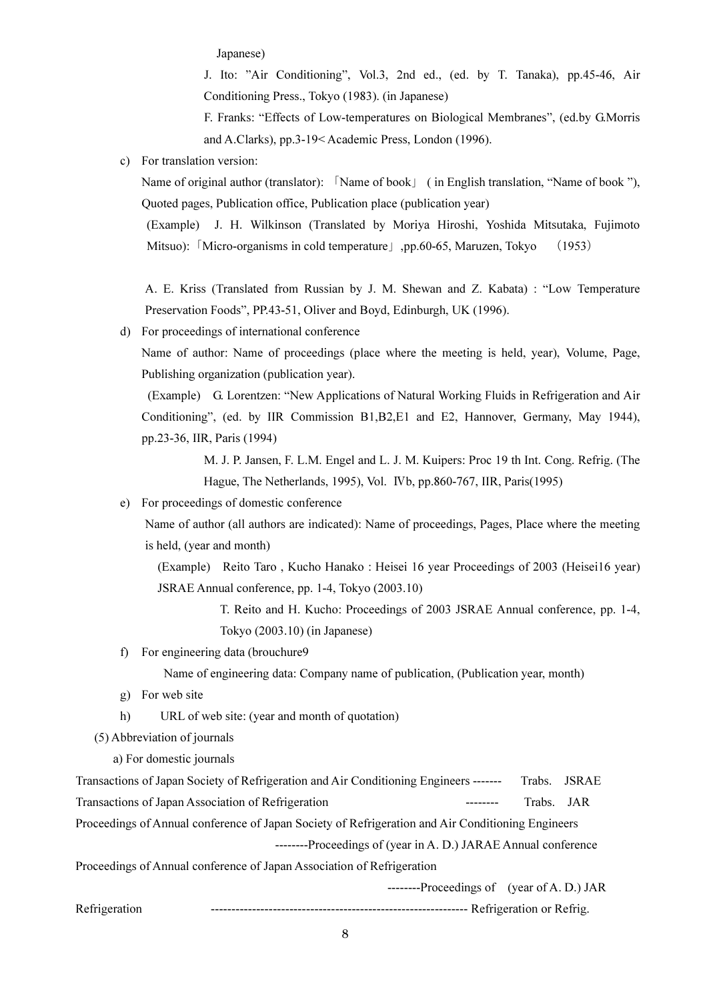Japanese)

 J. Ito: "Air Conditioning", Vol.3, 2nd ed., (ed. by T. Tanaka), pp.45-46, Air Conditioning Press., Tokyo (1983). (in Japanese)

 F. Franks: "Effects of Low-temperatures on Biological Membranes", (ed.by G.Morris and A.Clarks), pp.3-19< Academic Press, London (1996).

c) For translation version:

Name of original author (translator): 「Name of book」 ( in English translation, "Name of book "), Quoted pages, Publication office, Publication place (publication year)

(Example) J. H. Wilkinson (Translated by Moriya Hiroshi, Yoshida Mitsutaka, Fujimoto Mitsuo): [Micro-organisms in cold temperature | .pp.60-65, Maruzen, Tokyo (1953)

A. E. Kriss (Translated from Russian by J. M. Shewan and Z. Kabata) : "Low Temperature Preservation Foods", PP.43-51, Oliver and Boyd, Edinburgh, UK (1996).

d) For proceedings of international conference

Name of author: Name of proceedings (place where the meeting is held, year), Volume, Page, Publishing organization (publication year).

 (Example) G. Lorentzen: "New Applications of Natural Working Fluids in Refrigeration and Air Conditioning", (ed. by IIR Commission B1,B2,E1 and E2, Hannover, Germany, May 1944), pp.23-36, IIR, Paris (1994)

> M. J. P. Jansen, F. L.M. Engel and L. J. M. Kuipers: Proc 19 th Int. Cong. Refrig. (The Hague, The Netherlands, 1995), Vol. Ⅳb, pp.860-767, IIR, Paris(1995)

e) For proceedings of domestic conference

 Name of author (all authors are indicated): Name of proceedings, Pages, Place where the meeting is held, (year and month)

 (Example) Reito Taro , Kucho Hanako : Heisei 16 year Proceedings of 2003 (Heisei16 year) JSRAE Annual conference, pp. 1-4, Tokyo (2003.10)

> T. Reito and H. Kucho: Proceedings of 2003 JSRAE Annual conference, pp. 1-4, Tokyo (2003.10) (in Japanese)

f) For engineering data (brouchure9

Name of engineering data: Company name of publication, (Publication year, month)

- g) For web site
- h) URL of web site: (year and month of quotation)
- (5) Abbreviation of journals

a) For domestic journals

Transactions of Japan Society of Refrigeration and Air Conditioning Engineers ------- Trabs. JSRAE Transactions of Japan Association of Refrigeration -------- Trabs. JAR Proceedings of Annual conference of Japan Society of Refrigeration and Air Conditioning Engineers --------Proceedings of (year in A. D.) JARAE Annual conference Proceedings of Annual conference of Japan Association of Refrigeration --------Proceedings of (year of A. D.) JAR Refrigeration -------------------------------------------------------------- Refrigeration or Refrig.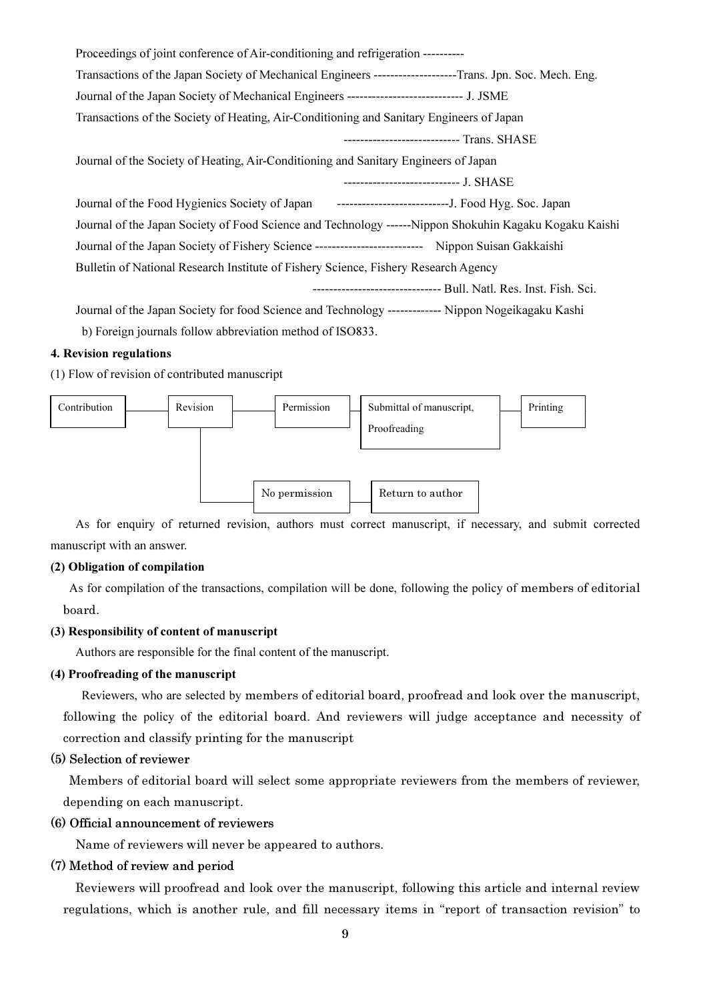| Proceedings of joint conference of Air-conditioning and refrigeration ----------                          |
|-----------------------------------------------------------------------------------------------------------|
| Transactions of the Japan Society of Mechanical Engineers --------------------Trans. Jpn. Soc. Mech. Eng. |
| Journal of the Japan Society of Mechanical Engineers ------------------------------ J. JSME               |
| Transactions of the Society of Heating, Air-Conditioning and Sanitary Engineers of Japan                  |
| ------------------------------ Trans. SHASE                                                               |
| Journal of the Society of Heating, Air-Conditioning and Sanitary Engineers of Japan                       |
| ----------------------------- J. SHASE                                                                    |
|                                                                                                           |
| Journal of the Japan Society of Food Science and Technology ------Nippon Shokuhin Kagaku Kogaku Kaishi    |
| Journal of the Japan Society of Fishery Science ---------------------------- Nippon Suisan Gakkaishi      |
| Bulletin of National Research Institute of Fishery Science, Fishery Research Agency                       |
| --------------------------------- Bull. Natl. Res. Inst. Fish. Sci.                                       |
| Journal of the Japan Society for food Science and Technology ------------- Nippon Nogeikagaku Kashi       |
|                                                                                                           |

b) Foreign journals follow abbreviation method of ISO833.

#### 4. Revision regulations

(1) Flow of revision of contributed manuscript



 As for enquiry of returned revision, authors must correct manuscript, if necessary, and submit corrected manuscript with an answer.

#### (2) Obligation of compilation

 As for compilation of the transactions, compilation will be done, following the policy of members of editorial board.

### (3) Responsibility of content of manuscript

Authors are responsible for the final content of the manuscript.

### (4) Proofreading of the manuscript

 Reviewers, who are selected by members of editorial board, proofread and look over the manuscript, following the policy of the editorial board. And reviewers will judge acceptance and necessity of correction and classify printing for the manuscript

## (5) Selection of reviewer

 Members of editorial board will select some appropriate reviewers from the members of reviewer, depending on each manuscript.

## (6) Official announcement of reviewers

Name of reviewers will never be appeared to authors.

### (7) Method of review and period

 Reviewers will proofread and look over the manuscript, following this article and internal review regulations, which is another rule, and fill necessary items in "report of transaction revision" to